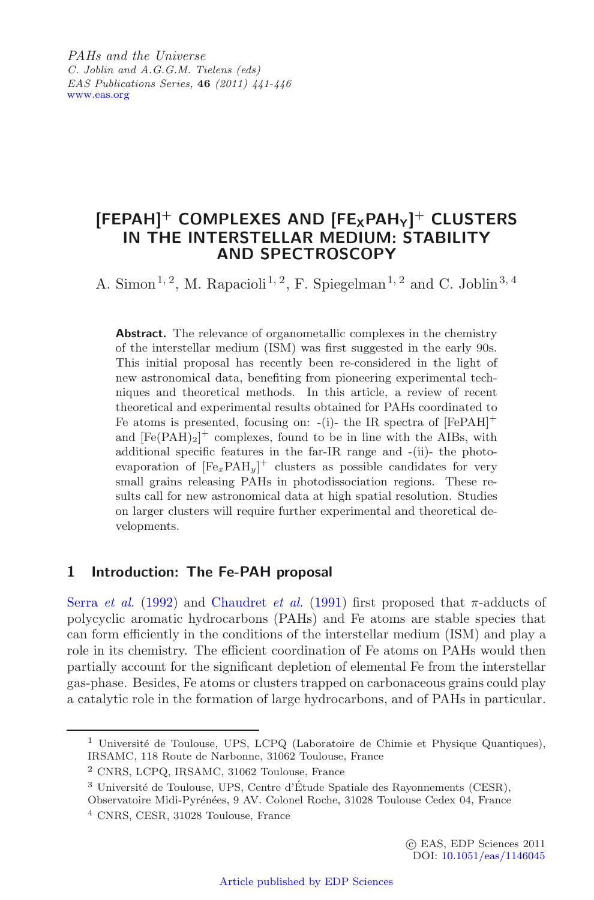*PAHs and the Universe C. Joblin and A.G.G.M. Tielens (eds) EAS Publications Series,* **46** *(2011) 441-446* [www.eas.org](http://www.eas.org)

# $[FEPAH]$ <sup>+</sup> COMPLEXES AND  $[FE_XPAH_Y]$ <sup>+</sup> CLUSTERS **IN THE INTERSTELLAR MEDIUM: STABILITY AND SPECTROSCOPY**

A. Simon<sup>1, 2</sup>, M. Rapacioli<sup>1, 2</sup>, F. Spiegelman<sup>1, 2</sup> and C. Joblin<sup>3, 4</sup>

Abstract. The relevance of organometallic complexes in the chemistry of the interstellar medium (ISM) was first suggested in the early 90s. This initial proposal has recently been re-considered in the light of new astronomical data, benefiting from pioneering experimental techniques and theoretical methods. In this article, a review of recent theoretical and experimental results obtained for PAHs coordinated to Fe atoms is presented, focusing on: -(i)- the IR spectra of  $[FePAH]$ <sup>+</sup> and  $[Fe(PAH)_2]^+$  complexes, found to be in line with the AIBs, with additional specific features in the far-IR range and -(ii)- the photoevaporation of  $[Fe_xPAH_y]$ <sup>+</sup> clusters as possible candidates for very small grains releasing PAHs in photodissociation regions. These results call for new astronomical data at high spatial resolution. Studies on larger clusters will require further experimental and theoretical developments.

## **1 Introduction: The Fe-PAH proposal**

Serra *et al.* [\(1992](#page-5-0)) and [Chaudret](#page-5-1) *et al.* [\(1991](#page-5-1)) first proposed that  $\pi$ -adducts of polycyclic aromatic hydrocarbons (PAHs) and Fe atoms are stable species that can form efficiently in the conditions of the interstellar medium (ISM) and play a role in its chemistry. The efficient coordination of Fe atoms on PAHs would then partially account for the significant depletion of elemental Fe from the interstellar gas-phase. Besides, Fe atoms or clusters trapped on carbonaceous grains could play a catalytic role in the formation of large hydrocarbons, and of PAHs in particular.

 $1$  Université de Toulouse, UPS, LCPQ (Laboratoire de Chimie et Physique Quantiques), IRSAMC, 118 Route de Narbonne, 31062 Toulouse, France

<sup>2</sup> CNRS, LCPQ, IRSAMC, 31062 Toulouse, France

 $3$  Université de Toulouse, UPS, Centre d'Étude Spatiale des Rayonnements (CESR),

Observatoire Midi-Pyrénées, 9 AV. Colonel Roche, 31028 Toulouse Cedex 04, France

<sup>4</sup> CNRS, CESR, 31028 Toulouse, France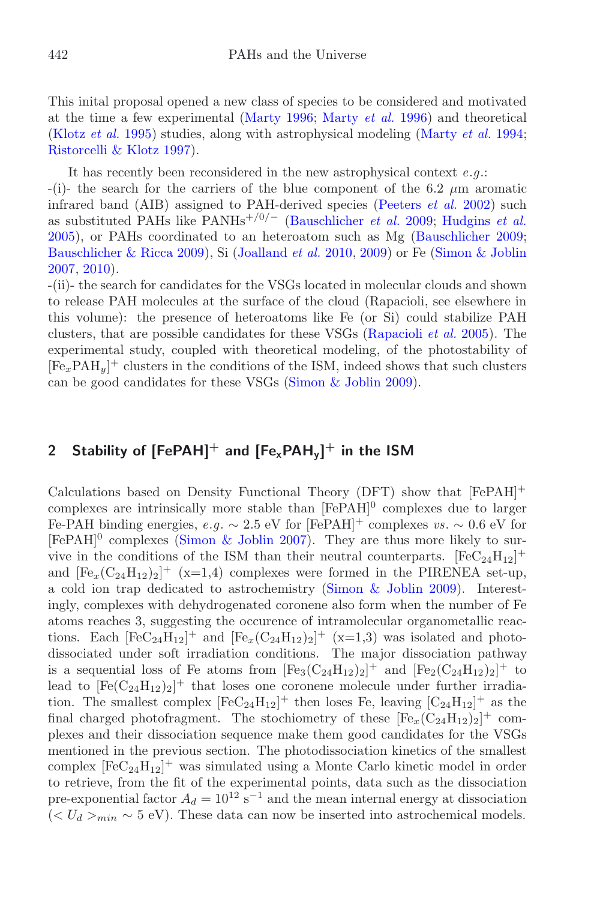This inital proposal opened a new class of species to be considered and motivated at the time a few experimental [\(Marty 1996](#page-5-2); [Marty](#page-5-3) *et al.* [1996](#page-5-3)) and theoretical [\(Klotz](#page-5-4) *et al.* [1995](#page-5-4)) studies, along with astrophysical modeling [\(Marty](#page-5-5) *et al.* [1994](#page-5-5); [Ristorcelli & Klotz 1997](#page-5-6)).

It has recently been reconsidered in the new astrophysical context *e*.*g*.:

 $-(i)$ - the search for the carriers of the blue component of the 6.2  $\mu$ m aromatic infrared band (AIB) assigned to PAH-derived species [\(Peeters](#page-5-7) *et al.* [2002\)](#page-5-7) such as substituted PAHs like PANHs<sup>+</sup>*/*0*/<sup>−</sup>* [\(Bauschlicher](#page-5-8) *et al.* [2009](#page-5-8); [Hudgins](#page-5-9) *et al.* [2005\)](#page-5-9), or PAHs coordinated to an heteroatom such as Mg [\(Bauschlicher 2009](#page-5-10); [Bauschlicher & Ricca 2009](#page-5-11)), Si [\(Joalland](#page-5-12) *et al.* [2010,](#page-5-12) [2009](#page-5-13)) or Fe [\(Simon & Joblin](#page-5-14) [2007,](#page-5-14) [2010\)](#page-5-15).

-(ii)- the search for candidates for the VSGs located in molecular clouds and shown to release PAH molecules at the surface of the cloud (Rapacioli, see elsewhere in this volume): the presence of heteroatoms like Fe (or Si) could stabilize PAH clusters, that are possible candidates for these VSGs [\(Rapacioli](#page-5-16) *et al.* [2005\)](#page-5-16). The experimental study, coupled with theoretical modeling, of the photostability of  $[Fe<sub>x</sub>PAH<sub>y</sub>]$ <sup>+</sup> clusters in the conditions of the ISM, indeed shows that such clusters can be good candidates for these VSGs [\(Simon & Joblin 2009](#page-5-17)).

# **2 Stability of [FePAH]<sup>+</sup> and [FexPAHy] + in the ISM**

Calculations based on Density Functional Theory (DFT) show that [FePAH]<sup>+</sup> complexes are intrinsically more stable than  $[FePAH]$ <sup>0</sup> complexes due to larger Fe-PAH binding energies,  $e.g. \sim 2.5$  eV for [FePAH]<sup>+</sup> complexes *vs*.  $\sim 0.6$  eV for  $[FePAH]^{0}$  complexes [\(Simon & Joblin 2007\)](#page-5-14). They are thus more likely to survive in the conditions of the ISM than their neutral counterparts.  $[FeC<sub>24</sub>H<sub>12</sub>]$ <sup>+</sup> and  $[Fe_x(C_{24}H_{12})_2]^+$  (x=1,4) complexes were formed in the PIRENEA set-up, a cold ion trap dedicated to astrochemistry [\(Simon & Joblin 2009\)](#page-5-17). Interestingly, complexes with dehydrogenated coronene also form when the number of Fe atoms reaches 3, suggesting the occurence of intramolecular organometallic reactions. Each  $[FeC_{24}H_{12}]^+$  and  $[Fe_x(C_{24}H_{12})_2]^+$  (x=1,3) was isolated and photodissociated under soft irradiation conditions. The major dissociation pathway is a sequential loss of Fe atoms from  $[Fe_3(C_{24}H_{12})_2]^+$  and  $[Fe_2(C_{24}H_{12})_2]^+$  to lead to  $[Fe(C_{24}H_{12})_2]^+$  that loses one coronene molecule under further irradiation. The smallest complex  $[FeC_{24}H_{12}]^+$  then loses Fe, leaving  $[C_{24}H_{12}]^+$  as the final charged photofragment. The stochiometry of these  $[Fe_x(C_{24}H_{12})_2]^+$  complexes and their dissociation sequence make them good candidates for the VSGs mentioned in the previous section. The photodissociation kinetics of the smallest complex  $[FeC_{24}H_{12}]^+$  was simulated using a Monte Carlo kinetic model in order to retrieve, from the fit of the experimental points, data such as the dissociation pre-exponential factor  $A_d = 10^{12} \text{ s}^{-1}$  and the mean internal energy at dissociation ( $\langle U_d \rangle_{min}$  ∼ 5 eV). These data can now be inserted into astrochemical models.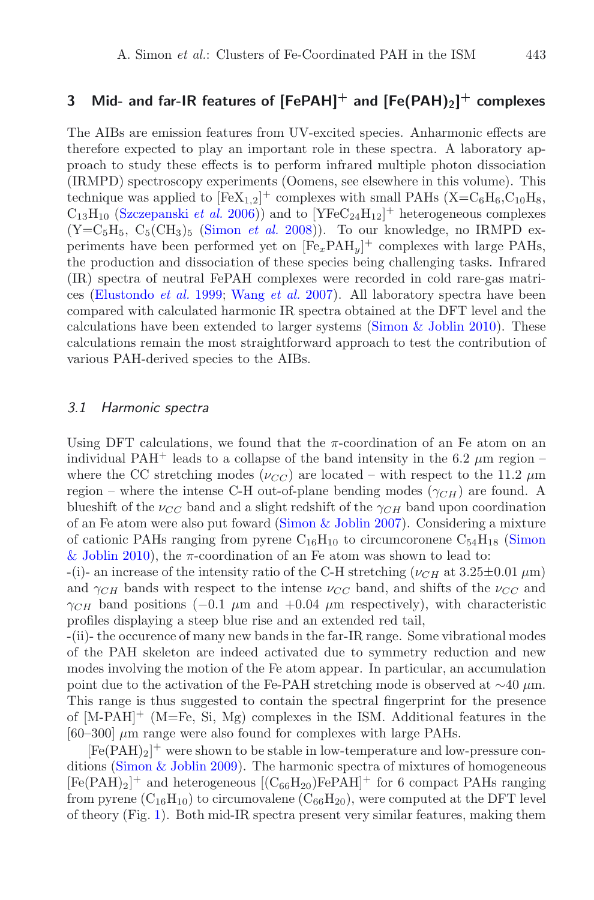## **3 Mid- and far-IR features of [FePAH]<sup>+</sup> and [Fe(PAH)2] + complexes**

The AIBs are emission features from UV-excited species. Anharmonic effects are therefore expected to play an important role in these spectra. A laboratory approach to study these effects is to perform infrared multiple photon dissociation (IRMPD) spectroscopy experiments (Oomens, see elsewhere in this volume). This technique was applied to  $[FeX_{1,2}]^+$  complexes with small PAHs  $(X=C_6H_6, C_{10}H_8,$  $C_{13}H_{10}$  [\(Szczepanski](#page-5-18) *et al.* [2006\)](#page-5-18)) and to  $[YFeC_{24}H_{12}]^+$  heterogeneous complexes  $(Y=C_5H_5, C_5(CH_3)$ <sub>5</sub> [\(Simon](#page-5-19) *et al.* [2008](#page-5-19))). To our knowledge, no IRMPD experiments have been performed yet on [Fe*x*PAH*y*] <sup>+</sup> complexes with large PAHs, the production and dissociation of these species being challenging tasks. Infrared (IR) spectra of neutral FePAH complexes were recorded in cold rare-gas matrices [\(Elustondo](#page-5-20) *et al.* [1999;](#page-5-20) [Wang](#page-5-21) *et al.* [2007](#page-5-21)). All laboratory spectra have been compared with calculated harmonic IR spectra obtained at the DFT level and the calculations have been extended to larger systems [\(Simon & Joblin 2010](#page-5-15)). These calculations remain the most straightforward approach to test the contribution of various PAH-derived species to the AIBs.

#### 3.1 Harmonic spectra

Using DFT calculations, we found that the  $\pi$ -coordination of an Fe atom on an individual PAH<sup>+</sup> leads to a collapse of the band intensity in the 6.2  $\mu$ m region – where the CC stretching modes ( $\nu_{CC}$ ) are located – with respect to the 11.2  $\mu$ m region – where the intense C-H out-of-plane bending modes  $(\gamma_{CH})$  are found. A blueshift of the  $\nu_{CC}$  band and a slight redshift of the  $\gamma_{CH}$  band upon coordination of an Fe atom were also put foward [\(Simon & Joblin 2007](#page-5-14)). Considering a mixture of cationic PAHs ranging from pyrene  $C_{16}H_{10}$  to circumcoronene  $C_{54}H_{18}$  (Simon & Joblin [2010\)](#page-5-15), the  $\pi$ -coordination of an Fe atom was shown to lead to:

 $-(i)$ - an increase of the intensity ratio of the C-H stretching ( $\nu_{CH}$  at  $3.25\pm0.01 \,\mu m$ ) and  $\gamma_{CH}$  bands with respect to the intense  $\nu_{CC}$  band, and shifts of the  $\nu_{CC}$  and  $\gamma_{CH}$  band positions (−0.1  $\mu$ m and +0.04  $\mu$ m respectively), with characteristic profiles displaying a steep blue rise and an extended red tail,

-(ii)- the occurence of many new bands in the far-IR range. Some vibrational modes of the PAH skeleton are indeed activated due to symmetry reduction and new modes involving the motion of the Fe atom appear. In particular, an accumulation point due to the activation of the Fe-PAH stretching mode is observed at  $\sim$ 40 µm. This range is thus suggested to contain the spectral fingerprint for the presence of  $[M-PAH]$ <sup>+</sup> (M=Fe, Si, Mg) complexes in the ISM. Additional features in the  $[60-300] \mu m$  range were also found for complexes with large PAHs.

 $[Fe(PAH)_2]^+$  were shown to be stable in low-temperature and low-pressure conditions (Simon  $&$  Joblin 2009). The harmonic spectra of mixtures of homogeneous  $[Fe(PAH)_2]^+$  and heterogeneous  $[(C_{66}H_{20})FePAH]^+$  for 6 compact PAHs ranging from pyrene  $(C_{16}H_{10})$  to circumovalene  $(C_{66}H_{20})$ , were computed at the DFT level of theory (Fig. [1\)](#page-3-0). Both mid-IR spectra present very similar features, making them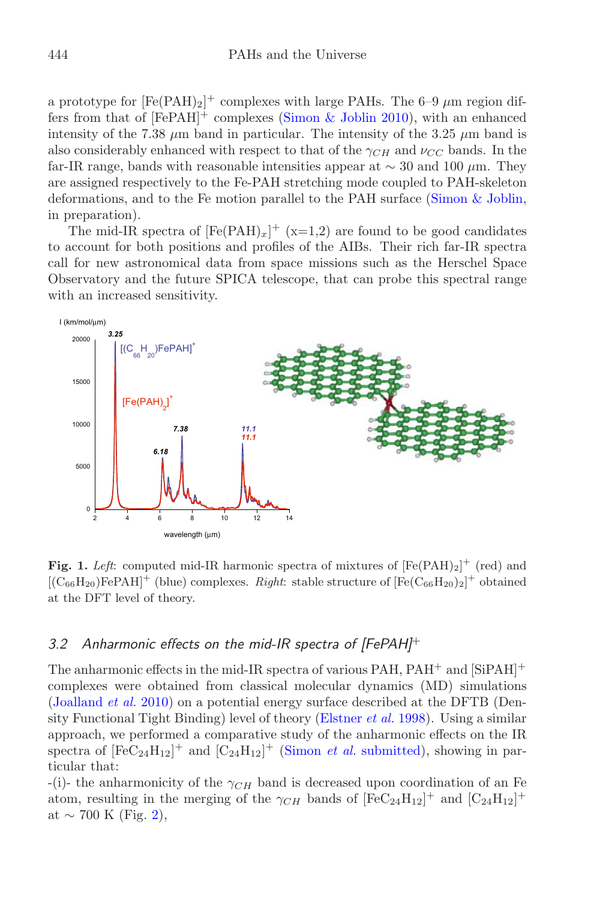a prototype for  $[Fe(PAH)_2]^+$  complexes with large PAHs. The 6–9  $\mu$ m region differs from that of  $[FePAH]^{+}$  complexes [\(Simon & Joblin 2010](#page-5-15)), with an enhanced intensity of the 7.38  $\mu$ m band in particular. The intensity of the 3.25  $\mu$ m band is also considerably enhanced with respect to that of the  $\gamma_{CH}$  and  $\nu_{CG}$  bands. In the far-IR range, bands with reasonable intensities appear at  $\sim$  30 and 100 μm. They are assigned respectively to the Fe-PAH stretching mode coupled to PAH-skeleton deformations, and to the Fe motion parallel to the PAH surface [\(Simon & Joblin](#page-5-22), in preparation).

The mid-IR spectra of  $[Fe(PAH)_x]^+$  (x=1,2) are found to be good candidates to account for both positions and profiles of the AIBs. Their rich far-IR spectra call for new astronomical data from space missions such as the Herschel Space Observatory and the future SPICA telescope, that can probe this spectral range with an increased sensitivity.

<span id="page-3-0"></span>

**Fig. 1.** *Left:* computed mid-IR harmonic spectra of mixtures of  $[Fe(PAH)_2]^+$  (red) and  $[Ca_1H_{12}]$   $[Fe_2H_{21}]$   $[Fe_3H_{21}]$   $[Fe_4H_{21}]$   $[Fe_4H_{21}]$   $[Fe_4H_{21}]$   $[Fe_4H_{21}]$   $[Fe_4H_{21}]$   $[Fe_4H_{21}]$   $[Fe_4H_{21}]$   $[Fe_4H_{21}]$   $[$  $[(\text{C}_{66}\text{H}_{20})\text{FePAH}]^+$  (blue) complexes. *Right*: stable structure of  $[\text{Fe}(\text{C}_{66}\text{H}_{20})_2]^+$  obtained<br>at the DET lovel of theory. at the DFT level of theory.

## 3.2 Anharmonic effects on the mid-IR spectra of  $[FePAH]^{+}$

The anharmonic effects in the mid-IR spectra of various PAH,  $PAH^+$  and  $[SiPAH]^+$ complexes were obtained from classical molecular dynamics (MD) simulations [\(Joalland](#page-5-12) *et al.* [2010\)](#page-5-12) on a potential energy surface described at the DFTB (Density Functional Tight Binding) level of theory [\(Elstner](#page-5-23) *et al.* [1998\)](#page-5-23). Using a similar approach, we performed a comparative study of the anharmonic effects on the IR spectra of  $[FeC_{24}H_{12}]^+$  and  $[C_{24}H_{12}]^+$  [\(Simon](#page-5-24) *et al.* [submitted](#page-5-24)), showing in particular that:

 $-(i)$ - the anharmonicity of the  $\gamma_{CH}$  band is decreased upon coordination of an Fe atom, resulting in the merging of the  $\gamma_{CH}$  bands of  $[FeC_{24}H_{12}]^+$  and  $[C_{24}H_{12}]^+$ at  $\sim$  700 K (Fig. [2\)](#page-4-0),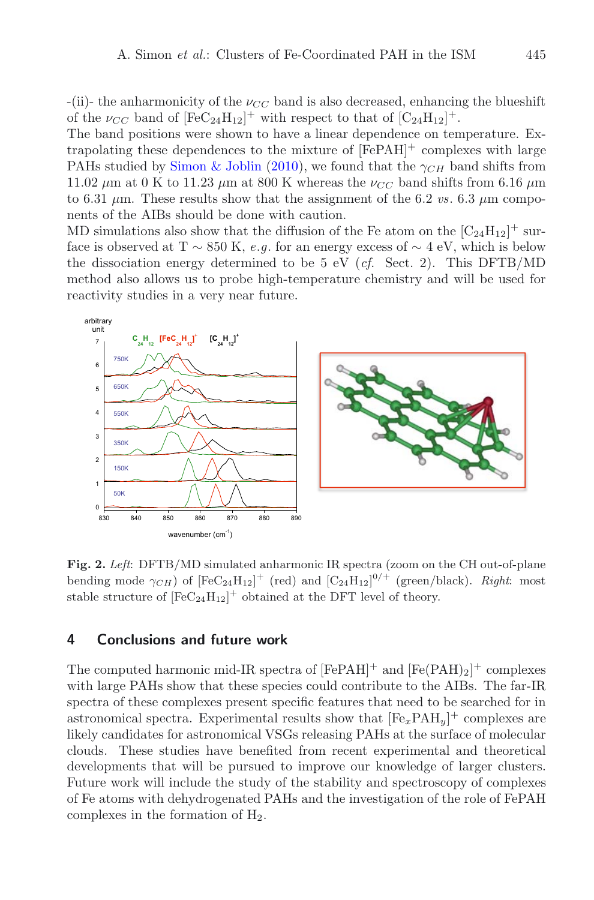$-(ii)$ - the anharmonicity of the  $\nu_{CC}$  band is also decreased, enhancing the blueshift of the  $\nu_{CC}$  band of  $[FeC_{24}H_{12}]^+$  with respect to that of  $[C_{24}H_{12}]^+$ .

The band positions were shown to have a linear dependence on temperature. Extrapolating these dependences to the mixture of  $[FePAH]^{+}$  complexes with large PAHs studied by [Simon & Joblin](#page-5-15) [\(2010\)](#page-5-15), we found that the  $\gamma_{CH}$  band shifts from 11.02  $\mu$ m at 0 K to 11.23  $\mu$ m at 800 K whereas the  $\nu_{CC}$  band shifts from 6.16  $\mu$ m to 6.31  $\mu$ m. These results show that the assignment of the 6.2 *vs*. 6.3  $\mu$ m components of the AIBs should be done with caution.

MD simulations also show that the diffusion of the Fe atom on the  $\left[\mathrm{C}_{24}\mathrm{H}_{12}\right]^+$  surface is observed at T  $\sim$  850 K, *e.g.* for an energy excess of  $\sim$  4 eV, which is below the dissociation energy determined to be 5 eV (*cf.* Sect. 2). This DFTB/MD method also allows us to probe high-temperature chemistry and will be used for reactivity studies in a very near future.

<span id="page-4-0"></span>

**Fig. 2.** *Left*: DFTB/MD simulated anharmonic IR spectra (zoom on the CH out-of-plane bending mode  $\gamma_{CH}$ ) of  $[FeC_{24}H_{12}]^+$  (red) and  $[C_{24}H_{12}]^{0/+}$  (green/black). *Right*: most stable structure of  $[FeC_{24}H_{12}]^+$  obtained at the DFT level of theory.

### **4 Conclusions and future work**

The computed harmonic mid-IR spectra of  $[FePAH]^+$  and  $[Fe(PAH)_2]^+$  complexes with large PAHs show that these species could contribute to the AIBs. The far-IR spectra of these complexes present specific features that need to be searched for in astronomical spectra. Experimental results show that  $[Fe_xPAH_y]^{+}$  complexes are likely candidates for astronomical VSGs releasing PAHs at the surface of molecular clouds. These studies have benefited from recent experimental and theoretical developments that will be pursued to improve our knowledge of larger clusters. Future work will include the study of the stability and spectroscopy of complexes of Fe atoms with dehydrogenated PAHs and the investigation of the role of FePAH complexes in the formation of  $H_2$ .